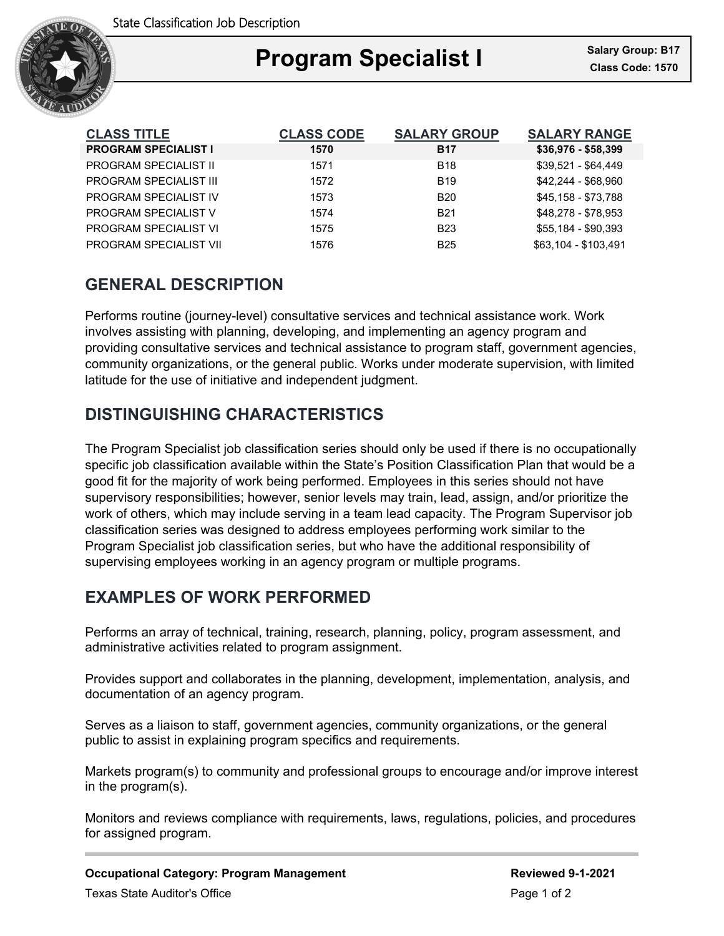

## Ξ **Program Specialist I Class Code: 1570**

| <b>CLASS TITLE</b>            | <b>CLASS CODE</b> | <b>SALARY GROUP</b> | <b>SALARY RANGE</b>  |
|-------------------------------|-------------------|---------------------|----------------------|
| <b>PROGRAM SPECIALIST I</b>   | 1570              | <b>B17</b>          | $$36,976 - $58,399$  |
| <b>PROGRAM SPECIALIST II</b>  | 1571              | <b>B18</b>          | \$39,521 - \$64,449  |
| <b>PROGRAM SPECIALIST III</b> | 1572              | <b>B19</b>          | \$42,244 - \$68,960  |
| PROGRAM SPECIALIST IV         | 1573              | <b>B20</b>          | \$45,158 - \$73,788  |
| <b>PROGRAM SPECIALIST V</b>   | 1574              | <b>B21</b>          | \$48.278 - \$78.953  |
| PROGRAM SPECIALIST VI         | 1575              | <b>B23</b>          | \$55,184 - \$90,393  |
| PROGRAM SPECIALIST VII        | 1576              | <b>B25</b>          | \$63,104 - \$103,491 |

# **GENERAL DESCRIPTION**

Performs routine (journey-level) consultative services and technical assistance work. Work involves assisting with planning, developing, and implementing an agency program and providing consultative services and technical assistance to program staff, government agencies, community organizations, or the general public. Works under moderate supervision, with limited latitude for the use of initiative and independent judgment.

# **DISTINGUISHING CHARACTERISTICS**

The Program Specialist job classification series should only be used if there is no occupationally specific job classification available within the State's Position Classification Plan that would be a good fit for the majority of work being performed. Employees in this series should not have supervisory responsibilities; however, senior levels may train, lead, assign, and/or prioritize the work of others, which may include serving in a team lead capacity. The Program Supervisor job classification series was designed to address employees performing work similar to the Program Specialist job classification series, but who have the additional responsibility of supervising employees working in an agency program or multiple programs.

# **EXAMPLES OF WORK PERFORMED**

Performs an array of technical, training, research, planning, policy, program assessment, and administrative activities related to program assignment.

Provides support and collaborates in the planning, development, implementation, analysis, and documentation of an agency program.

Serves as a liaison to staff, government agencies, community organizations, or the general public to assist in explaining program specifics and requirements.

Markets program(s) to community and professional groups to encourage and/or improve interest in the program(s).

Monitors and reviews compliance with requirements, laws, regulations, policies, and procedures for assigned program.